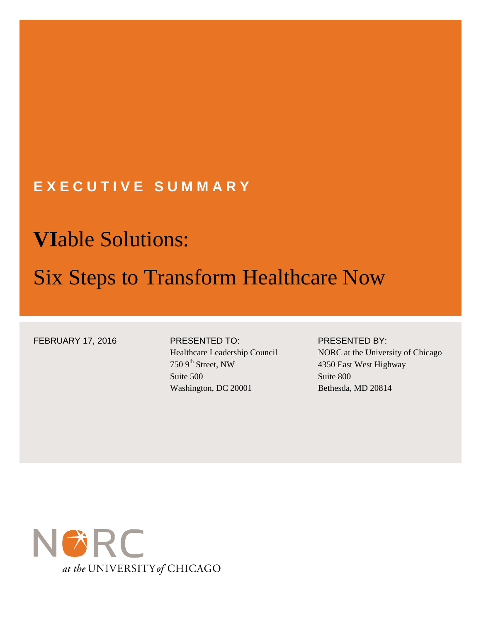## **E X E C U T I V E S U M M A R Y**

# **VI**able Solutions:

## Six Steps to Transform Healthcare Now

FEBRUARY 17, 2016 PRESENTED TO:

### Healthcare Leadership Council 750 9<sup>th</sup> Street, NW Suite 500 Washington, DC 20001

#### PRESENTED BY:

NORC at the University of Chicago 4350 East West Highway Suite 800 Bethesda, MD 20814

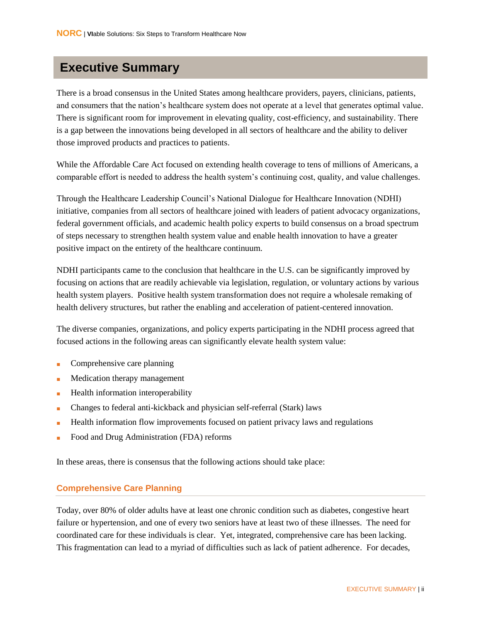### **Executive Summary**

There is a broad consensus in the United States among healthcare providers, payers, clinicians, patients, and consumers that the nation's healthcare system does not operate at a level that generates optimal value. There is significant room for improvement in elevating quality, cost-efficiency, and sustainability. There is a gap between the innovations being developed in all sectors of healthcare and the ability to deliver those improved products and practices to patients.

While the Affordable Care Act focused on extending health coverage to tens of millions of Americans, a comparable effort is needed to address the health system's continuing cost, quality, and value challenges.

Through the Healthcare Leadership Council's National Dialogue for Healthcare Innovation (NDHI) initiative, companies from all sectors of healthcare joined with leaders of patient advocacy organizations, federal government officials, and academic health policy experts to build consensus on a broad spectrum of steps necessary to strengthen health system value and enable health innovation to have a greater positive impact on the entirety of the healthcare continuum.

NDHI participants came to the conclusion that healthcare in the U.S. can be significantly improved by focusing on actions that are readily achievable via legislation, regulation, or voluntary actions by various health system players. Positive health system transformation does not require a wholesale remaking of health delivery structures, but rather the enabling and acceleration of patient-centered innovation.

The diverse companies, organizations, and policy experts participating in the NDHI process agreed that focused actions in the following areas can significantly elevate health system value:

- Comprehensive care planning
- Medication therapy management
- Health information interoperability
- Changes to federal anti-kickback and physician self-referral (Stark) laws
- Health information flow improvements focused on patient privacy laws and regulations
- Food and Drug Administration (FDA) reforms

In these areas, there is consensus that the following actions should take place:

#### **Comprehensive Care Planning**

Today, over 80% of older adults have at least one chronic condition such as diabetes, congestive heart failure or hypertension, and one of every two seniors have at least two of these illnesses. The need for coordinated care for these individuals is clear. Yet, integrated, comprehensive care has been lacking. This fragmentation can lead to a myriad of difficulties such as lack of patient adherence. For decades,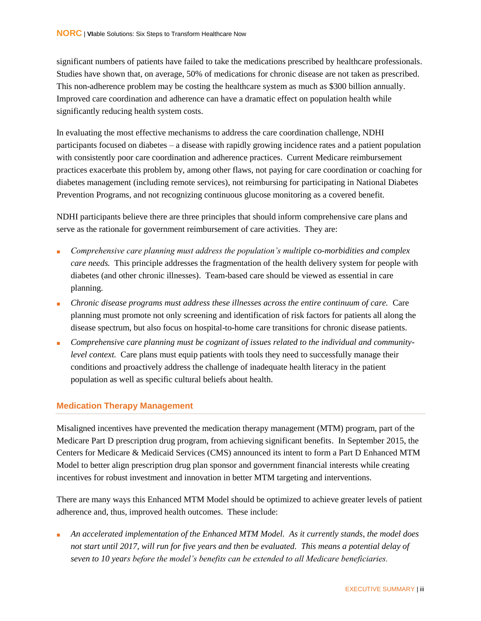significant numbers of patients have failed to take the medications prescribed by healthcare professionals. Studies have shown that, on average, 50% of medications for chronic disease are not taken as prescribed. This non-adherence problem may be costing the healthcare system as much as \$300 billion annually. Improved care coordination and adherence can have a dramatic effect on population health while significantly reducing health system costs.

In evaluating the most effective mechanisms to address the care coordination challenge, NDHI participants focused on diabetes – a disease with rapidly growing incidence rates and a patient population with consistently poor care coordination and adherence practices. Current Medicare reimbursement practices exacerbate this problem by, among other flaws, not paying for care coordination or coaching for diabetes management (including remote services), not reimbursing for participating in National Diabetes Prevention Programs, and not recognizing continuous glucose monitoring as a covered benefit.

NDHI participants believe there are three principles that should inform comprehensive care plans and serve as the rationale for government reimbursement of care activities. They are:

- Comprehensive care planning must address the population's multiple co-morbidities and complex *care needs.* This principle addresses the fragmentation of the health delivery system for people with diabetes (and other chronic illnesses). Team-based care should be viewed as essential in care planning.
- *Chronic disease programs must address these illnesses across the entire continuum of care.* Care planning must promote not only screening and identification of risk factors for patients all along the disease spectrum, but also focus on hospital-to-home care transitions for chronic disease patients.
- Comprehensive care planning must be cognizant of issues related to the individual and community*level context.* Care plans must equip patients with tools they need to successfully manage their conditions and proactively address the challenge of inadequate health literacy in the patient population as well as specific cultural beliefs about health.

#### **Medication Therapy Management**

Misaligned incentives have prevented the medication therapy management (MTM) program, part of the Medicare Part D prescription drug program, from achieving significant benefits. In September 2015, the Centers for Medicare & Medicaid Services (CMS) announced its intent to form a Part D Enhanced MTM Model to better align prescription drug plan sponsor and government financial interests while creating incentives for robust investment and innovation in better MTM targeting and interventions.

There are many ways this Enhanced MTM Model should be optimized to achieve greater levels of patient adherence and, thus, improved health outcomes. These include:

An accelerated implementation of the Enhanced MTM Model. As it currently stands, the model does *not start until 2017, will run for five years and then be evaluated. This means a potential delay of seven to 10 years before the model's benefits can be extended to all Medicare beneficiaries.*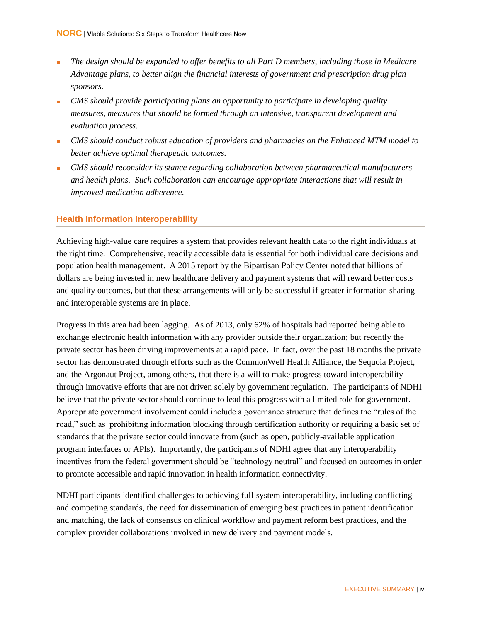- The design should be expanded to offer benefits to all Part D members, including those in Medicare *Advantage plans, to better align the financial interests of government and prescription drug plan sponsors.*
- *CMS should provide participating plans an opportunity to participate in developing quality measures, measures that should be formed through an intensive, transparent development and evaluation process.*
- *CMS should conduct robust education of providers and pharmacies on the Enhanced MTM model to better achieve optimal therapeutic outcomes.*
- *CMS should reconsider its stance regarding collaboration between pharmaceutical manufacturers and health plans. Such collaboration can encourage appropriate interactions that will result in improved medication adherence.*

#### **Health Information Interoperability**

Achieving high-value care requires a system that provides relevant health data to the right individuals at the right time. Comprehensive, readily accessible data is essential for both individual care decisions and population health management. A 2015 report by the Bipartisan Policy Center noted that billions of dollars are being invested in new healthcare delivery and payment systems that will reward better costs and quality outcomes, but that these arrangements will only be successful if greater information sharing and interoperable systems are in place.

Progress in this area had been lagging. As of 2013, only 62% of hospitals had reported being able to exchange electronic health information with any provider outside their organization; but recently the private sector has been driving improvements at a rapid pace. In fact, over the past 18 months the private sector has demonstrated through efforts such as the CommonWell Health Alliance, the Sequoia Project, and the Argonaut Project, among others, that there is a will to make progress toward interoperability through innovative efforts that are not driven solely by government regulation. The participants of NDHI believe that the private sector should continue to lead this progress with a limited role for government. Appropriate government involvement could include a governance structure that defines the "rules of the road," such as prohibiting information blocking through certification authority or requiring a basic set of standards that the private sector could innovate from (such as open, publicly-available application program interfaces or APIs). Importantly, the participants of NDHI agree that any interoperability incentives from the federal government should be "technology neutral" and focused on outcomes in order to promote accessible and rapid innovation in health information connectivity.

NDHI participants identified challenges to achieving full-system interoperability, including conflicting and competing standards, the need for dissemination of emerging best practices in patient identification and matching, the lack of consensus on clinical workflow and payment reform best practices, and the complex provider collaborations involved in new delivery and payment models.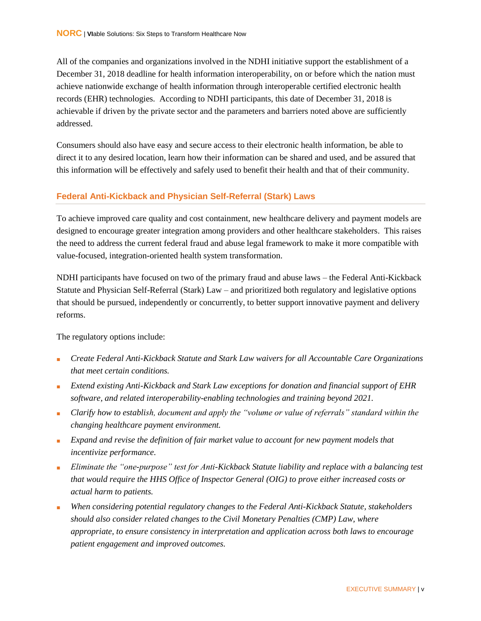All of the companies and organizations involved in the NDHI initiative support the establishment of a December 31, 2018 deadline for health information interoperability, on or before which the nation must achieve nationwide exchange of health information through interoperable certified electronic health records (EHR) technologies. According to NDHI participants, this date of December 31, 2018 is achievable if driven by the private sector and the parameters and barriers noted above are sufficiently addressed.

Consumers should also have easy and secure access to their electronic health information, be able to direct it to any desired location, learn how their information can be shared and used, and be assured that this information will be effectively and safely used to benefit their health and that of their community.

#### **Federal Anti-Kickback and Physician Self-Referral (Stark) Laws**

To achieve improved care quality and cost containment, new healthcare delivery and payment models are designed to encourage greater integration among providers and other healthcare stakeholders. This raises the need to address the current federal fraud and abuse legal framework to make it more compatible with value-focused, integration-oriented health system transformation.

NDHI participants have focused on two of the primary fraud and abuse laws – the Federal Anti-Kickback Statute and Physician Self-Referral (Stark) Law – and prioritized both regulatory and legislative options that should be pursued, independently or concurrently, to better support innovative payment and delivery reforms.

The regulatory options include:

- *Create Federal Anti-Kickback Statute and Stark Law waivers for all Accountable Care Organizations that meet certain conditions.*
- *Extend existing Anti-Kickback and Stark Law exceptions for donation and financial support of EHR software, and related interoperability-enabling technologies and training beyond 2021.*
- *Clarify how to establish, document and apply the "volume or value of referrals" standard within the changing healthcare payment environment.*
- *Expand and revise the definition of fair market value to account for new payment models that incentivize performance.*
- *Eliminate the "one-purpose" test for Anti-Kickback Statute liability and replace with a balancing test that would require the HHS Office of Inspector General (OIG) to prove either increased costs or actual harm to patients.*
- *When considering potential regulatory changes to the Federal Anti-Kickback Statute, stakeholders should also consider related changes to the Civil Monetary Penalties (CMP) Law, where appropriate, to ensure consistency in interpretation and application across both laws to encourage patient engagement and improved outcomes.*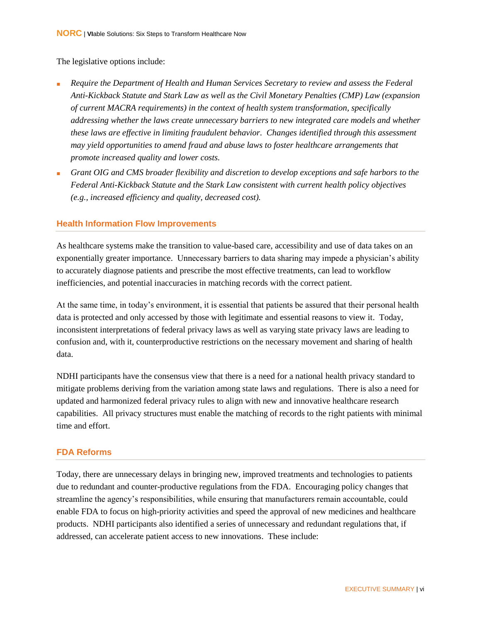The legislative options include:

- *Require the Department of Health and Human Services Secretary to review and assess the Federal Anti-Kickback Statute and Stark Law as well as the Civil Monetary Penalties (CMP) Law (expansion of current MACRA requirements) in the context of health system transformation, specifically addressing whether the laws create unnecessary barriers to new integrated care models and whether these laws are effective in limiting fraudulent behavior. Changes identified through this assessment may yield opportunities to amend fraud and abuse laws to foster healthcare arrangements that promote increased quality and lower costs.*
- *Grant OIG and CMS broader flexibility and discretion to develop exceptions and safe harbors to the Federal Anti-Kickback Statute and the Stark Law consistent with current health policy objectives (e.g., increased efficiency and quality, decreased cost).*

#### **Health Information Flow Improvements**

As healthcare systems make the transition to value-based care, accessibility and use of data takes on an exponentially greater importance. Unnecessary barriers to data sharing may impede a physician's ability to accurately diagnose patients and prescribe the most effective treatments, can lead to workflow inefficiencies, and potential inaccuracies in matching records with the correct patient.

At the same time, in today's environment, it is essential that patients be assured that their personal health data is protected and only accessed by those with legitimate and essential reasons to view it. Today, inconsistent interpretations of federal privacy laws as well as varying state privacy laws are leading to confusion and, with it, counterproductive restrictions on the necessary movement and sharing of health data.

NDHI participants have the consensus view that there is a need for a national health privacy standard to mitigate problems deriving from the variation among state laws and regulations. There is also a need for updated and harmonized federal privacy rules to align with new and innovative healthcare research capabilities. All privacy structures must enable the matching of records to the right patients with minimal time and effort.

#### **FDA Reforms**

Today, there are unnecessary delays in bringing new, improved treatments and technologies to patients due to redundant and counter-productive regulations from the FDA. Encouraging policy changes that streamline the agency's responsibilities, while ensuring that manufacturers remain accountable, could enable FDA to focus on high-priority activities and speed the approval of new medicines and healthcare products. NDHI participants also identified a series of unnecessary and redundant regulations that, if addressed, can accelerate patient access to new innovations. These include: